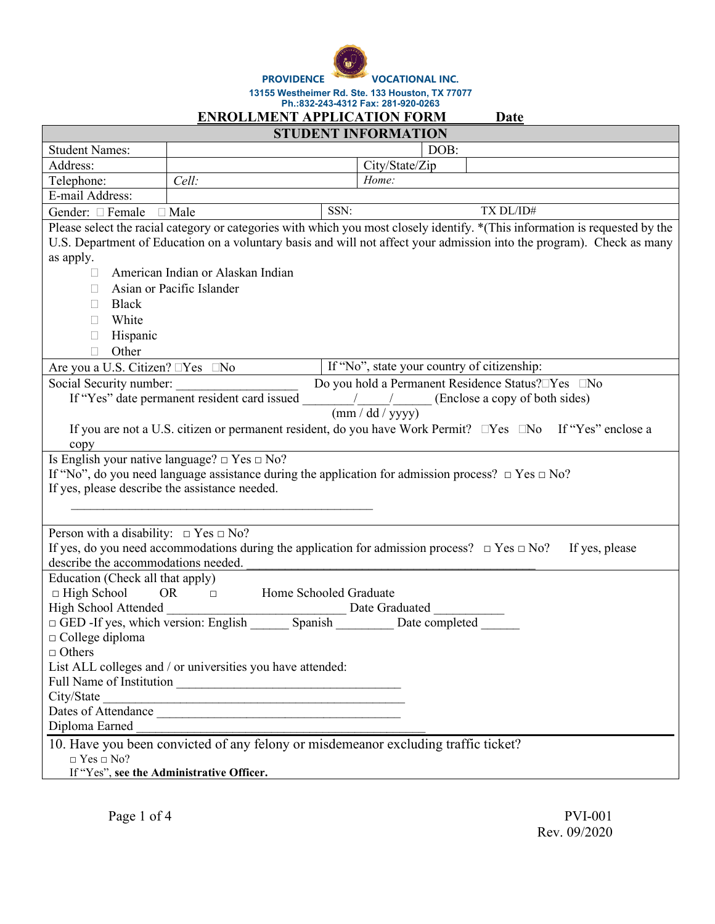¢

**PROVIDENCE VOCATIONAL INC.**

|                                                                                                                                   |                                                                                                                              |      | 13155 Westheimer Rd. Ste. 133 Houston, TX 77077<br>Ph.:832-243-4312 Fax: 281-920-0263                                                                                                                                                                 |
|-----------------------------------------------------------------------------------------------------------------------------------|------------------------------------------------------------------------------------------------------------------------------|------|-------------------------------------------------------------------------------------------------------------------------------------------------------------------------------------------------------------------------------------------------------|
|                                                                                                                                   | <b>ENROLLMENT APPLICATION FORM</b>                                                                                           |      | Date                                                                                                                                                                                                                                                  |
|                                                                                                                                   |                                                                                                                              |      | <b>STUDENT INFORMATION</b>                                                                                                                                                                                                                            |
| <b>Student Names:</b>                                                                                                             |                                                                                                                              |      | DOB:                                                                                                                                                                                                                                                  |
| Address:                                                                                                                          |                                                                                                                              |      | City/State/Zip                                                                                                                                                                                                                                        |
| Telephone:                                                                                                                        | Cell:                                                                                                                        |      | Home:                                                                                                                                                                                                                                                 |
| E-mail Address:                                                                                                                   |                                                                                                                              |      |                                                                                                                                                                                                                                                       |
| Gender: Female                                                                                                                    | $\Box$ Male                                                                                                                  | SSN: | TX DL/ID#                                                                                                                                                                                                                                             |
| as apply.<br><b>Black</b><br>White                                                                                                | American Indian or Alaskan Indian<br>Asian or Pacific Islander                                                               |      | Please select the racial category or categories with which you most closely identify. *(This information is requested by the<br>U.S. Department of Education on a voluntary basis and will not affect your admission into the program). Check as many |
| Hispanic                                                                                                                          |                                                                                                                              |      |                                                                                                                                                                                                                                                       |
| Other                                                                                                                             |                                                                                                                              |      |                                                                                                                                                                                                                                                       |
| Are you a U.S. Citizen? □Yes □No<br>Social Security number:                                                                       |                                                                                                                              |      | If "No", state your country of citizenship:<br>Do you hold a Permanent Residence Status? Nes No                                                                                                                                                       |
| copy                                                                                                                              | If "Yes" date permanent resident card issued<br>Is English your native language? $\Box$ Yes $\Box$ No?                       |      | (Enclose a copy of both sides)<br>$\left(\frac{mm}{dd} \cdot \frac{yd}{yyy}\right)$<br>If you are not a U.S. citizen or permanent resident, do you have Work Permit? $\square$ Yes $\square$ No If "Yes" enclose a                                    |
| If yes, please describe the assistance needed.                                                                                    |                                                                                                                              |      | If "No", do you need language assistance during the application for admission process? $\Box$ Yes $\Box$ No?                                                                                                                                          |
| Person with a disability: $\Box$ Yes $\Box$ No?<br>describe the accommodations needed.                                            |                                                                                                                              |      | If yes, do you need accommodations during the application for admission process? $\Box$ Yes $\Box$ No?<br>If yes, please                                                                                                                              |
| Education (Check all that apply)<br>$\Box$ High School<br>$\Box$ College diploma<br>$\Box$ Others<br>City/State<br>Diploma Earned | Home Schooled Graduate<br>OR.<br>$\Box$<br>List ALL colleges and / or universities you have attended:<br>Dates of Attendance |      | 10. Have you been convicted of any felony or misdemeanor excluding traffic ticket?                                                                                                                                                                    |
| $\Box$ Yes $\Box$ No?                                                                                                             |                                                                                                                              |      |                                                                                                                                                                                                                                                       |

If "Yes", **see the Administrative Officer.**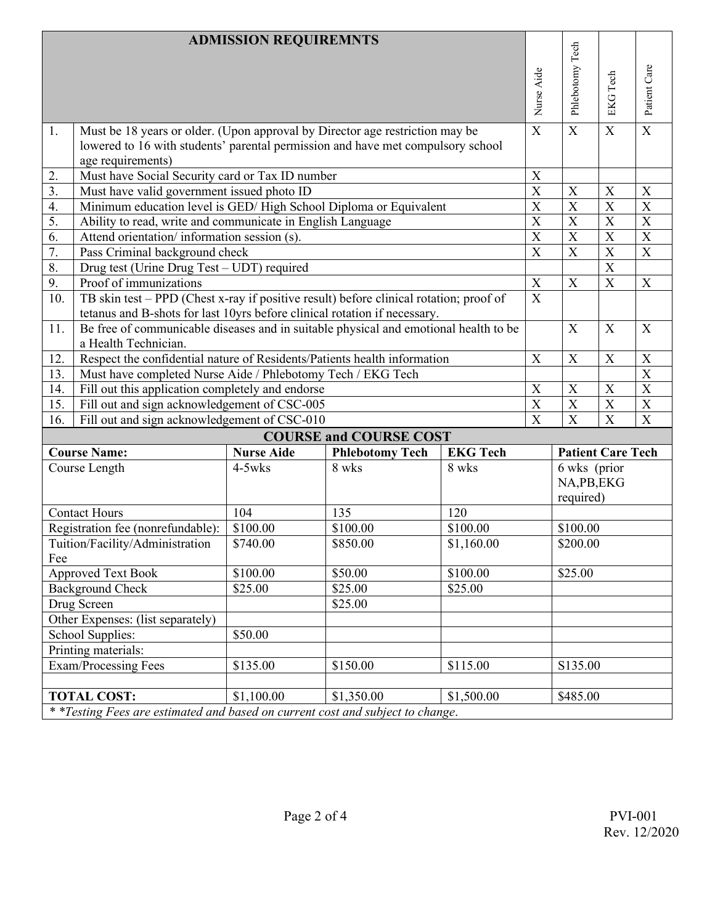|                                                                                 |                                                                                        | <b>ADMISSION REQUIREMNTS</b> |                               |                 |                       |                           |                           |                           |
|---------------------------------------------------------------------------------|----------------------------------------------------------------------------------------|------------------------------|-------------------------------|-----------------|-----------------------|---------------------------|---------------------------|---------------------------|
|                                                                                 |                                                                                        |                              |                               |                 |                       | Phlebotomy Tech           |                           |                           |
|                                                                                 |                                                                                        |                              |                               |                 |                       |                           |                           | Patient Care              |
|                                                                                 |                                                                                        |                              |                               |                 |                       |                           |                           |                           |
|                                                                                 |                                                                                        |                              |                               |                 | Nurse Aide            |                           | <b>EKG</b> Tech           |                           |
| 1.                                                                              | Must be 18 years or older. (Upon approval by Director age restriction may be           |                              |                               |                 | $\mathbf X$           | $\mathbf X$               | X                         | $\mathbf X$               |
|                                                                                 | lowered to 16 with students' parental permission and have met compulsory school        |                              |                               |                 |                       |                           |                           |                           |
|                                                                                 | age requirements)                                                                      |                              |                               |                 |                       |                           |                           |                           |
| 2.                                                                              | Must have Social Security card or Tax ID number                                        |                              |                               |                 | X                     |                           |                           |                           |
| 3.                                                                              | Must have valid government issued photo ID                                             |                              |                               |                 | $\overline{\text{X}}$ | X                         | $\boldsymbol{\mathrm{X}}$ | $\boldsymbol{\mathrm{X}}$ |
| 4.                                                                              | Minimum education level is GED/High School Diploma or Equivalent                       |                              |                               |                 | X                     | $\mathbf X$               | $\mathbf X$               | X                         |
| 5.                                                                              | Ability to read, write and communicate in English Language                             |                              |                               |                 | $\overline{X}$        | $\overline{X}$            | $\overline{X}$            | $\overline{\text{X}}$     |
| 6.                                                                              | Attend orientation/information session (s).                                            |                              |                               |                 | $\overline{X}$        | X                         | $\overline{X}$            | $\overline{\text{X}}$     |
| 7.                                                                              | Pass Criminal background check                                                         |                              |                               |                 | $\overline{X}$        | X                         | $\overline{X}$            | X                         |
| 8.                                                                              | Drug test (Urine Drug Test - UDT) required                                             |                              |                               |                 |                       |                           | $\overline{\text{X}}$     |                           |
| 9.                                                                              | Proof of immunizations                                                                 |                              |                               |                 | X                     | X                         | $\boldsymbol{\mathrm{X}}$ | $\boldsymbol{\mathrm{X}}$ |
| 10.                                                                             | TB skin test – PPD (Chest x-ray if positive result) before clinical rotation; proof of |                              |                               |                 | $\overline{X}$        |                           |                           |                           |
|                                                                                 | tetanus and B-shots for last 10yrs before clinical rotation if necessary.              |                              |                               |                 |                       |                           |                           |                           |
| 11.                                                                             | Be free of communicable diseases and in suitable physical and emotional health to be   |                              |                               |                 |                       | X                         | X                         | $\boldsymbol{\mathrm{X}}$ |
|                                                                                 | a Health Technician.                                                                   |                              |                               |                 |                       |                           |                           |                           |
| Respect the confidential nature of Residents/Patients health information<br>12. |                                                                                        |                              | X                             | X               | $\mathbf X$           | X                         |                           |                           |
| Must have completed Nurse Aide / Phlebotomy Tech / EKG Tech<br>13.              |                                                                                        |                              |                               |                 |                       | $\boldsymbol{\mathrm{X}}$ |                           |                           |
| 14.                                                                             | Fill out this application completely and endorse                                       |                              |                               |                 | X                     | X                         | X                         | $\overline{\text{X}}$     |
| 15.<br>Fill out and sign acknowledgement of CSC-005                             |                                                                                        |                              | $\overline{X}$                | $\overline{X}$  | $\overline{\text{X}}$ | $\overline{\mathbf{X}}$   |                           |                           |
| 16.                                                                             | Fill out and sign acknowledgement of CSC-010                                           |                              |                               |                 | $\overline{X}$        | $\overline{X}$            | $\overline{\text{X}}$     | $\boldsymbol{\mathrm{X}}$ |
|                                                                                 |                                                                                        |                              | <b>COURSE and COURSE COST</b> |                 |                       |                           |                           |                           |
|                                                                                 | <b>Course Name:</b>                                                                    | <b>Nurse Aide</b>            | <b>Phlebotomy Tech</b>        | <b>EKG Tech</b> |                       | <b>Patient Care Tech</b>  |                           |                           |
|                                                                                 | Course Length                                                                          | $4-5w$ ks                    | 8 wks                         | 8 wks           |                       | 6 wks (prior              |                           |                           |
|                                                                                 |                                                                                        |                              |                               |                 |                       | NA,PB,EKG                 |                           |                           |
|                                                                                 |                                                                                        |                              |                               |                 |                       | required)                 |                           |                           |
|                                                                                 | <b>Contact Hours</b>                                                                   | 104                          | 135                           | 120             |                       |                           |                           |                           |
| Registration fee (nonrefundable):                                               |                                                                                        | \$100.00                     | \$100.00                      | \$100.00        |                       | \$100.00                  |                           |                           |
|                                                                                 | Tuition/Facility/Administration                                                        | \$740.00                     | \$850.00                      | \$1,160.00      |                       | \$200.00                  |                           |                           |
| Fee                                                                             |                                                                                        |                              |                               |                 |                       |                           |                           |                           |
|                                                                                 | <b>Approved Text Book</b>                                                              | \$100.00                     | \$50.00                       | \$100.00        |                       | \$25.00                   |                           |                           |
|                                                                                 | <b>Background Check</b>                                                                | \$25.00                      | \$25.00                       | \$25.00         |                       |                           |                           |                           |
|                                                                                 | Drug Screen                                                                            |                              | \$25.00                       |                 |                       |                           |                           |                           |
|                                                                                 | Other Expenses: (list separately)                                                      |                              |                               |                 |                       |                           |                           |                           |
|                                                                                 | School Supplies:                                                                       | \$50.00                      |                               |                 |                       |                           |                           |                           |
| Printing materials:                                                             |                                                                                        |                              |                               |                 |                       |                           |                           |                           |
|                                                                                 | Exam/Processing Fees                                                                   | \$135.00                     | \$115.00<br>\$150.00          |                 |                       | S135.00                   |                           |                           |
|                                                                                 |                                                                                        |                              |                               |                 |                       |                           |                           |                           |
|                                                                                 | <b>TOTAL COST:</b>                                                                     | \$1,100.00                   | \$1,350.00                    | \$1,500.00      |                       | \$485.00                  |                           |                           |
|                                                                                 | * *Testing Fees are estimated and based on current cost and subject to change.         |                              |                               |                 |                       |                           |                           |                           |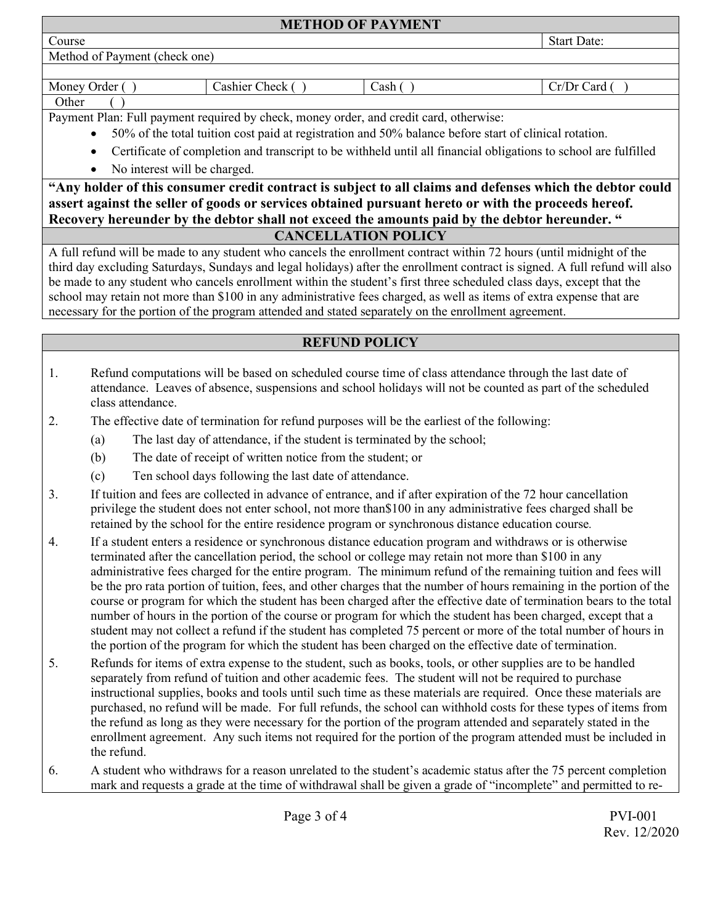| <b>METHOD OF PAYMENT</b>      |                    |  |
|-------------------------------|--------------------|--|
| Course                        | <b>Start Date:</b> |  |
| Method of Payment (check one) |                    |  |
|                               |                    |  |

| <br>Money<br>Jrder<br>_ashier :<br>heck<br>`` | n a h-<br><b>Casii</b> | Card<br>.<br>١r<br>$\sim$ |
|-----------------------------------------------|------------------------|---------------------------|
|-----------------------------------------------|------------------------|---------------------------|

#### Other ( )

Payment Plan: Full payment required by check, money order, and credit card, otherwise:

- 50% of the total tuition cost paid at registration and 50% balance before start of clinical rotation.
- Certificate of completion and transcript to be withheld until all financial obligations to school are fulfilled
- No interest will be charged.

# **"Any holder of this consumer credit contract is subject to all claims and defenses which the debtor could assert against the seller of goods or services obtained pursuant hereto or with the proceeds hereof. Recovery hereunder by the debtor shall not exceed the amounts paid by the debtor hereunder. "**

### **CANCELLATION POLICY**

A full refund will be made to any student who cancels the enrollment contract within 72 hours (until midnight of the third day excluding Saturdays, Sundays and legal holidays) after the enrollment contract is signed. A full refund will also be made to any student who cancels enrollment within the student's first three scheduled class days, except that the school may retain not more than \$100 in any administrative fees charged, as well as items of extra expense that are necessary for the portion of the program attended and stated separately on the enrollment agreement.

## **REFUND POLICY**

- 1. Refund computations will be based on scheduled course time of class attendance through the last date of attendance. Leaves of absence, suspensions and school holidays will not be counted as part of the scheduled class attendance.
- 2. The effective date of termination for refund purposes will be the earliest of the following:
	- (a) The last day of attendance, if the student is terminated by the school;
		- (b) The date of receipt of written notice from the student; or
		- (c) Ten school days following the last date of attendance.
- 3. If tuition and fees are collected in advance of entrance, and if after expiration of the 72 hour cancellation privilege the student does not enter school, not more than\$100 in any administrative fees charged shall be retained by the school for the entire residence program or synchronous distance education course*.*
- 4. If a student enters a residence or synchronous distance education program and withdraws or is otherwise terminated after the cancellation period, the school or college may retain not more than \$100 in any administrative fees charged for the entire program. The minimum refund of the remaining tuition and fees will be the pro rata portion of tuition, fees, and other charges that the number of hours remaining in the portion of the course or program for which the student has been charged after the effective date of termination bears to the total number of hours in the portion of the course or program for which the student has been charged, except that a student may not collect a refund if the student has completed 75 percent or more of the total number of hours in the portion of the program for which the student has been charged on the effective date of termination.
- 5. Refunds for items of extra expense to the student, such as books, tools, or other supplies are to be handled separately from refund of tuition and other academic fees. The student will not be required to purchase instructional supplies, books and tools until such time as these materials are required. Once these materials are purchased, no refund will be made. For full refunds, the school can withhold costs for these types of items from the refund as long as they were necessary for the portion of the program attended and separately stated in the enrollment agreement. Any such items not required for the portion of the program attended must be included in the refund.
- 6. A student who withdraws for a reason unrelated to the student's academic status after the 75 percent completion mark and requests a grade at the time of withdrawal shall be given a grade of "incomplete" and permitted to re-